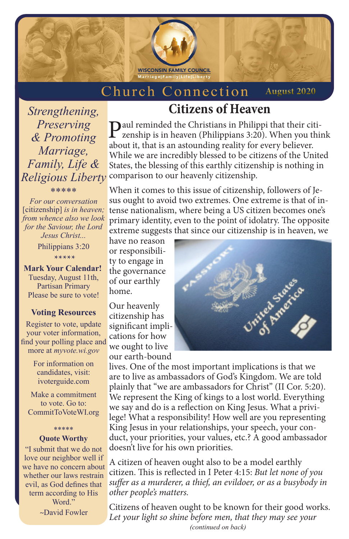

#### Church Connection **August 2020**

*Strengthening, Preserving & Promoting Marriage, Family, Life &* 

\*\*\*\*\*

# **Citizens of Heaven**

*Religious Liberty* comparison to our heavenly citizenship. Paul reminded the Christians in Philippi that their citizenship is in heaven (Philippians 3:20). When you think about it, that is an astounding reality for every believer. While we are incredibly blessed to be citizens of the United States, the blessing of this earthly citizenship is nothing in

*For our conversation*  [citizenship] *is in heaven; from whence also we look for the Saviour, the Lord Jesus Christ...*

Philippians 3:20 \*\*\*\*\*

**Mark Your Calendar!** Tuesday, August 11th, Partisan Primary Please be sure to vote!

#### **Voting Resources**

Register to vote, update your voter information, find your polling place and more at *myvote.wi.gov*

> For information on candidates, visit: ivoterguide.com

Make a commitment to vote. Go to: CommitToVoteWI.org

### \*\*\*\*\* **Quote Worthy**

"I submit that we do not love our neighbor well if we have no concern about whether our laws restrain evil, as God defines that term according to His Word." *~*David Fowler

When it comes to this issue of citizenship, followers of Jesus ought to avoid two extremes. One extreme is that of intense nationalism, where being a US citizen becomes one's primary identity, even to the point of idolatry. The opposite extreme suggests that since our citizenship is in heaven, we

have no reason or responsibility to engage in the governance of our earthly home.

Our heavenly citizenship has significant implications for how we ought to live our earth-bound



lives. One of the most important implications is that we are to live as ambassadors of God's Kingdom. We are told plainly that "we are ambassadors for Christ" (II Cor. 5:20). We represent the King of kings to a lost world. Everything we say and do is a reflection on King Jesus. What a privilege! What a responsibility! How well are you representing King Jesus in your relationships, your speech, your conduct, your priorities, your values, etc.? A good ambassador doesn't live for his own priorities.

A citizen of heaven ought also to be a model earthly citizen. This is reflected in I Peter 4:15: *But let none of you suffer as a murderer, a thief, an evildoer, or as a busybody in other people's matters.*

*(continued on back)* Citizens of heaven ought to be known for their good works. *Let your light so shine before men, that they may see your*